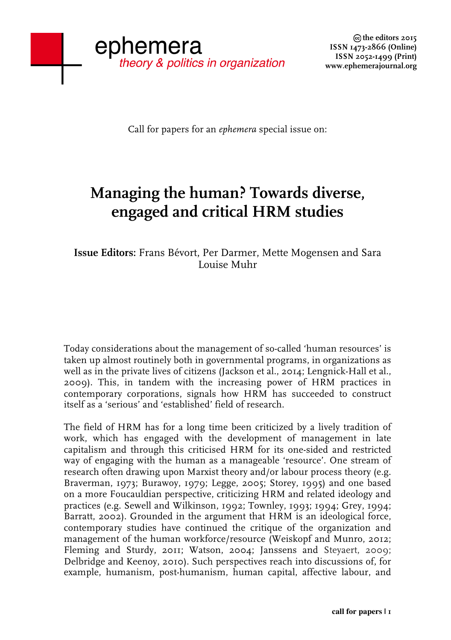Call for papers for an *ephemera* special issue on:

## **Managing the human? Towards diverse, engaged and critical HRM studies**

**Issue Editors:** Frans Bévort, Per Darmer, Mette Mogensen and Sara Louise Muhr

Today considerations about the management of so-called 'human resources' is taken up almost routinely both in governmental programs, in organizations as well as in the private lives of citizens (Jackson et al., 2014; Lengnick-Hall et al., 2009). This, in tandem with the increasing power of HRM practices in contemporary corporations, signals how HRM has succeeded to construct itself as a 'serious' and 'established' field of research.

The field of HRM has for a long time been criticized by a lively tradition of work, which has engaged with the development of management in late capitalism and through this criticised HRM for its one-sided and restricted way of engaging with the human as a manageable 'resource'. One stream of research often drawing upon Marxist theory and/or labour process theory (e.g. Braverman, 1973; Burawoy, 1979; Legge, 2005; Storey, 1995) and one based on a more Foucauldian perspective, criticizing HRM and related ideology and practices (e.g. Sewell and Wilkinson, 1992; Townley, 1993; 1994; Grey, 1994; Barratt, 2002). Grounded in the argument that HRM is an ideological force, contemporary studies have continued the critique of the organization and management of the human workforce/resource (Weiskopf and Munro, 2012; Fleming and Sturdy, 2011; Watson, 2004; Janssens and Steyaert, 2009; Delbridge and Keenoy, 2010). Such perspectives reach into discussions of, for example, humanism, post-humanism, human capital, affective labour, and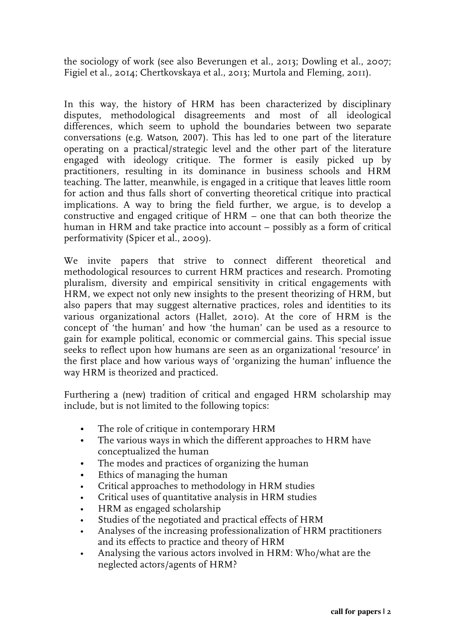the sociology of work (see also Beverungen et al., 2013; Dowling et al., 2007; Figiel et al., 2014; Chertkovskaya et al., 2013; Murtola and Fleming, 2011).

In this way, the history of HRM has been characterized by disciplinary disputes, methodological disagreements and most of all ideological differences, which seem to uphold the boundaries between two separate conversations (e.g. Watson, 2007). This has led to one part of the literature operating on a practical/strategic level and the other part of the literature engaged with ideology critique. The former is easily picked up by practitioners, resulting in its dominance in business schools and HRM teaching. The latter, meanwhile, is engaged in a critique that leaves little room for action and thus falls short of converting theoretical critique into practical implications. A way to bring the field further, we argue, is to develop a constructive and engaged critique of HRM – one that can both theorize the human in HRM and take practice into account – possibly as a form of critical performativity (Spicer et al., 2009).

We invite papers that strive to connect different theoretical and methodological resources to current HRM practices and research. Promoting pluralism, diversity and empirical sensitivity in critical engagements with HRM, we expect not only new insights to the present theorizing of HRM, but also papers that may suggest alternative practices, roles and identities to its various organizational actors (Hallet, 2010). At the core of HRM is the concept of 'the human' and how 'the human' can be used as a resource to gain for example political, economic or commercial gains. This special issue seeks to reflect upon how humans are seen as an organizational 'resource' in the first place and how various ways of 'organizing the human' influence the way HRM is theorized and practiced.

Furthering a (new) tradition of critical and engaged HRM scholarship may include, but is not limited to the following topics:

- The role of critique in contemporary HRM
- The various ways in which the different approaches to HRM have conceptualized the human
- The modes and practices of organizing the human
- Ethics of managing the human
- Critical approaches to methodology in HRM studies
- Critical uses of quantitative analysis in HRM studies
- HRM as engaged scholarship
- Studies of the negotiated and practical effects of HRM
- Analyses of the increasing professionalization of HRM practitioners and its effects to practice and theory of HRM
- Analysing the various actors involved in HRM: Who/what are the neglected actors/agents of HRM?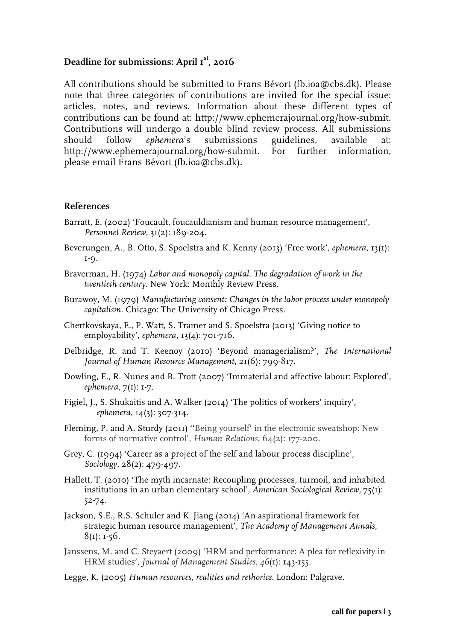## **Deadline for submissions: April 1 st , 2016**

All contributions should be submitted to Frans Bévort (fb.ioa@cbs.dk). Please note that three categories of contributions are invited for the special issue: articles, notes, and reviews. Information about these different types of contributions can be found at: http://www.ephemerajournal.org/how-submit. Contributions will undergo a double blind review process. All submissions should follow *ephemera*'s submissions guidelines, available at: http://www.ephemerajournal.org/how-submit. For further information, please email Frans Bévort (fb.ioa@cbs.dk).

## **References**

- Barratt, E. (2002) 'Foucault, foucauldianism and human resource management', *Personnel Review*, 31(2): 189-204.
- Beverungen, A., B. Otto, S. Spoelstra and K. Kenny (2013) 'Free work', *ephemera*, 13(1): 1-9.
- Braverman, H. (1974) *Labor and monopoly capital. The degradation of work in the twentieth century.* New York: Monthly Review Press.
- Burawoy, M. (1979) *Manufacturing consent: Changes in the labor process under monopoly capitalism.* Chicago: The University of Chicago Press.
- Chertkovskaya, E., P. Watt, S. Tramer and S. Spoelstra (2013) 'Giving notice to employability', *ephemera*, 13(4): 701-716.
- Delbridge, R. and T. Keenoy (2010) 'Beyond managerialism?', *The International Journal of Human Resource Management*, 21(6): 799-817.
- Dowling, E., R. Nunes and B. Trott (2007) 'Immaterial and affective labour: Explored', *ephemera*, 7(1): 1-7.
- Figiel, J., S. Shukaitis and A. Walker (2014) 'The politics of workers' inquiry', *ephemera*, 14(3): 307-314.
- Fleming, P. and A. Sturdy (2011) ''Being yourself' in the electronic sweatshop: New forms of normative control', *Human Relations*, 64(2): 177-200.
- Grey, C. (1994) 'Career as a project of the self and labour process discipline', *Sociology*, 28(2): 479-497.
- Hallett, T. (2010) 'The myth incarnate: Recoupling processes, turmoil, and inhabited institutions in an urban elementary school', *American Sociological Review,* 75(1): 52-74.
- Jackson, S.E., R.S. Schuler and K. Jiang (2014) 'An aspirational framework for strategic human resource management', *The Academy of Management Annals*,  $8(I): I-56.$
- Janssens, M. and C. Steyaert (2009) 'HRM and performance: A plea for reflexivity in HRM studies', *Journal of Management Studies*, *46*(1): 143-155.
- Legge, K. (2005) *Human resources, realities and rethorics*. London: Palgrave.